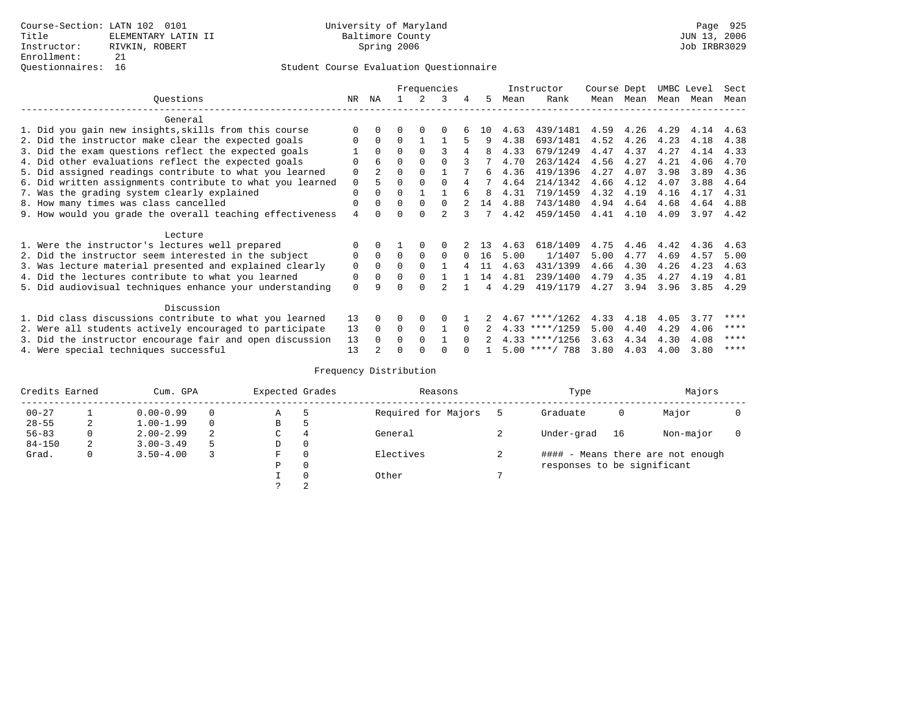### Student Course Evaluation Questionnaire

|                                                           |                | Frequencies    |          |          |               |          | Instructor |      | Course Dept      |      | UMBC Level |      | Sect |      |
|-----------------------------------------------------------|----------------|----------------|----------|----------|---------------|----------|------------|------|------------------|------|------------|------|------|------|
| Ouestions                                                 | NR             | ΝA             |          |          | 3             | 4        | 5.         | Mean | Rank             | Mean | Mean       | Mean | Mean | Mean |
| General                                                   |                |                |          |          |               |          |            |      |                  |      |            |      |      |      |
| 1. Did you gain new insights, skills from this course     |                | $\Omega$       | O        | $\Omega$ | $\Omega$      |          | 1 O        | 4.63 | 439/1481         | 4.59 | 4.26       | 4.29 | 4.14 | 4.63 |
| 2. Did the instructor make clear the expected goals       | O              | $\Omega$       | $\Omega$ |          |               | 5        | 9          | 4.38 | 693/1481         | 4.52 | 4.26       | 4.23 | 4.18 | 4.38 |
| 3. Did the exam questions reflect the expected goals      |                | $\Omega$       | $\Omega$ | $\Omega$ | ς             |          | 8          | 4.33 | 679/1249         | 4.47 | 4.37       | 4.27 | 4.14 | 4.33 |
| 4. Did other evaluations reflect the expected goals       | O              | 6              | 0        | $\Omega$ | $\Omega$      |          |            | 4.70 | 263/1424         | 4.56 | 4.27       | 4.21 | 4.06 | 4.70 |
| 5. Did assigned readings contribute to what you learned   | $\mathbf 0$    | $\mathfrak{D}$ | $\Omega$ |          |               |          | б.         | 4.36 | 419/1396         | 4.27 | 4.07       | 3.98 | 3.89 | 4.36 |
| 6. Did written assignments contribute to what you learned | $\mathbf 0$    |                | $\Omega$ | $\Omega$ |               |          |            | 4.64 | 214/1342         | 4.66 | 4.12       | 4.07 | 3.88 | 4.64 |
| 7. Was the grading system clearly explained               | $\Omega$       |                | $\Omega$ |          |               | 6        | 8          | 4.31 | 719/1459         | 4.32 | 4.19       | 4.16 | 4.17 | 4.31 |
| 8. How many times was class cancelled                     | 0              | $\Omega$       | $\Omega$ | $\Omega$ | $\Omega$      |          | 14         | 4.88 | 743/1480         | 4.94 | 4.64       | 4.68 | 4.64 | 4.88 |
| 9. How would you grade the overall teaching effectiveness | $\overline{4}$ | <sup>n</sup>   | U        | $\cap$   | $\mathcal{D}$ | २        | 7          | 4.42 | 459/1450         | 4.41 | 4.10       | 4.09 | 3.97 | 4.42 |
|                                                           |                |                |          |          |               |          |            |      |                  |      |            |      |      |      |
| Lecture                                                   |                |                |          |          |               |          |            |      |                  |      |            |      |      |      |
| 1. Were the instructor's lectures well prepared           | $\Omega$       |                |          |          |               |          | 13         | 4.63 | 618/1409         | 4.75 | 4.46       | 4.42 | 4.36 | 4.63 |
| 2. Did the instructor seem interested in the subject      | 0              | $\Omega$       | $\Omega$ | $\Omega$ | $\Omega$      | $\Omega$ | 16         | 5.00 | 1/1407           | 5.00 | 4.77       | 4.69 | 4.57 | 5.00 |
| 3. Was lecture material presented and explained clearly   | $\mathbf 0$    | $\Omega$       | $\Omega$ | $\Omega$ |               |          | 11         | 4.63 | 431/1399         | 4.66 | 4.30       | 4.26 | 4.23 | 4.63 |
| 4. Did the lectures contribute to what you learned        | 0              | $\Omega$       | $\Omega$ | $\Omega$ |               |          | 14         | 4.81 | 239/1400         | 4.79 | 4.35       | 4.27 | 4.19 | 4.81 |
| 5. Did audiovisual techniques enhance your understanding  | $\Omega$       | a              |          | ∩        |               |          | 4          | 4.29 | 419/1179         | 4.27 | 3.94       | 3.96 | 3.85 | 4.29 |
| Discussion                                                |                |                |          |          |               |          |            |      |                  |      |            |      |      |      |
| 1. Did class discussions contribute to what you learned   | 13             | $\Omega$       | 0        | $\Omega$ | $\Omega$      |          |            |      | $4.67$ ****/1262 | 4.33 | 4.18       | 4.05 | 3.77 | **** |
| 2. Were all students actively encouraged to participate   | 13             | $\Omega$       | $\Omega$ | $\Omega$ |               | $\Omega$ |            |      | $4.33$ ****/1259 | 5.00 | 4.40       | 4.29 | 4.06 | **** |
| 3. Did the instructor encourage fair and open discussion  | 13             | $\Omega$       | 0        | $\Omega$ |               | $\Omega$ |            |      | $4.33$ ****/1256 | 3.63 | 4.34       | 4.30 | 4.08 | **** |
| 4. Were special techniques successful                     | 13             |                | U        |          |               |          |            |      | $5.00$ ****/ 788 | 3.80 | 4.03       | 4.00 | 3.80 | **** |

| Credits Earned |   | Cum. GPA      |          |   | Expected Grades | Reasons             | Type                        |    | Majors                            |  |
|----------------|---|---------------|----------|---|-----------------|---------------------|-----------------------------|----|-----------------------------------|--|
| $00 - 27$      |   | $0.00 - 0.99$ |          | Α |                 | Required for Majors | Graduate                    | 0  | Major                             |  |
| $28 - 55$      | 2 | $1.00 - 1.99$ | $\Omega$ | В | Þ               |                     |                             |    |                                   |  |
| $56 - 83$      | 0 | $2.00 - 2.99$ |          | С | 4               | General             | Under-grad                  | 16 | Non-major                         |  |
| $84 - 150$     | 2 | $3.00 - 3.49$ |          | D | 0               |                     |                             |    |                                   |  |
| Grad.          | 0 | $3.50 - 4.00$ |          | F | $\Omega$        | Electives           |                             |    | #### - Means there are not enough |  |
|                |   |               |          | Ρ | 0               |                     | responses to be significant |    |                                   |  |
|                |   |               |          |   | $\Omega$        | Other               |                             |    |                                   |  |
|                |   |               |          |   |                 |                     |                             |    |                                   |  |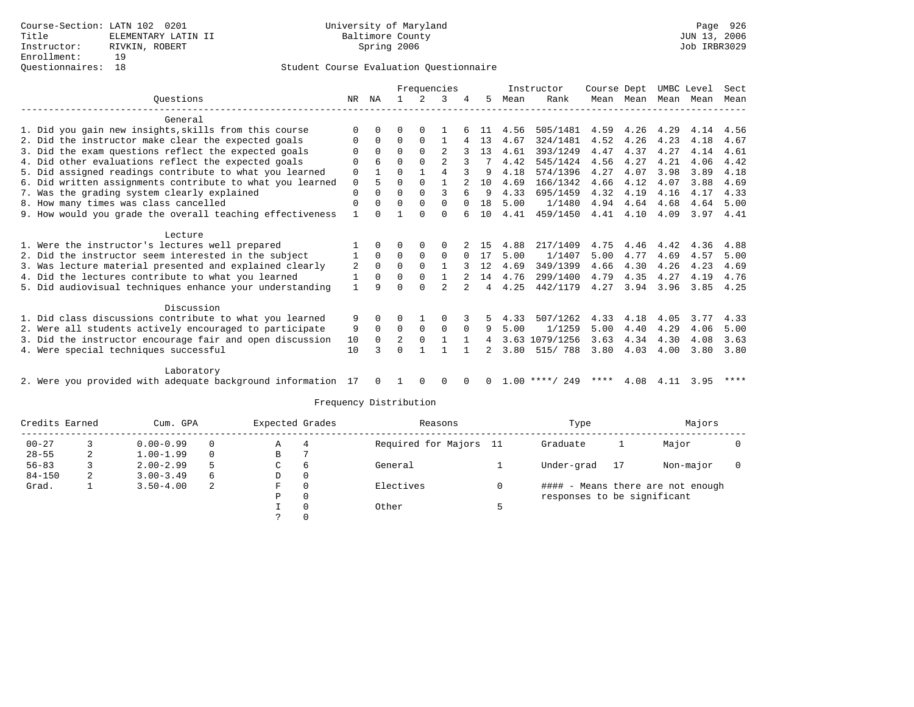### Questionnaires: 18 Student Course Evaluation Questionnaire

|                                                              |              |              | Frequencies  |              |                |                |          |      | Instructor       | Course Dept |      |      | UMBC Level | Sect |
|--------------------------------------------------------------|--------------|--------------|--------------|--------------|----------------|----------------|----------|------|------------------|-------------|------|------|------------|------|
| Ouestions                                                    | NR.          | ΝA           |              |              | 3              |                | 5        | Mean | Rank             | Mean        | Mean | Mean | Mean       | Mean |
| General                                                      |              |              |              |              |                |                |          |      |                  |             |      |      |            |      |
| 1. Did you gain new insights, skills from this course        | $\Omega$     |              |              |              |                |                |          | 4.56 | 505/1481         | 4.59        | 4.26 | 4.29 | 4.14       | 4.56 |
| 2. Did the instructor make clear the expected goals          |              | $\Omega$     | 0            | 0            |                |                | 13       | 4.67 | 324/1481         | 4.52        | 4.26 | 4.23 | 4.18       | 4.67 |
| 3. Did the exam questions reflect the expected goals         |              | $\Omega$     | O            | $\Omega$     | 2              |                | 13       | 4.61 | 393/1249         | 4.47        | 4.37 | 4.27 | 4.14       | 4.61 |
| 4. Did other evaluations reflect the expected goals          | $\Omega$     | 6            | O            | $\Omega$     |                |                |          | 4.42 | 545/1424         | 4.56        | 4.27 | 4.21 | 4.06       | 4.42 |
| 5. Did assigned readings contribute to what you learned      | 0            |              | O            |              | 4              |                | 9        | 4.18 | 574/1396         | 4.27        | 4.07 | 3.98 | 3.89       | 4.18 |
| 6. Did written assignments contribute to what you learned    | 0            | 5            | O            | $\Omega$     |                |                | 10       | 4.69 | 166/1342         | 4.66        | 4.12 | 4.07 | 3.88       | 4.69 |
| 7. Was the grading system clearly explained                  | $\Omega$     | $\Omega$     | 0            | $\Omega$     | 3              |                | 9        | 4.33 | 695/1459         | 4.32        | 4.19 | 4.16 | 4.17       | 4.33 |
| 8. How many times was class cancelled                        | 0            | $\Omega$     | O            | $\Omega$     | $\Omega$       | $\Omega$       | 18       | 5.00 | 1/1480           | 4.94        | 4.64 | 4.68 | 4.64       | 5.00 |
| 9. How would you grade the overall teaching effectiveness    | $\mathbf{1}$ | ∩            |              | $\cap$       | <sup>0</sup>   |                | 10       | 4.41 | 459/1450         | 4.41        | 4.10 | 4.09 | 3.97       | 4.41 |
| Lecture                                                      |              |              |              |              |                |                |          |      |                  |             |      |      |            |      |
| 1. Were the instructor's lectures well prepared              |              | $\Omega$     | U            | $\Omega$     | $\Omega$       |                | 15       | 4.88 | 217/1409         | 4.75        | 4.46 | 4.42 | 4.36       | 4.88 |
| 2. Did the instructor seem interested in the subject         |              | $\Omega$     | $\Omega$     | $\Omega$     | $\Omega$       | $\Omega$       | 17       | 5.00 | 1/1407           | 5.00        | 4.77 | 4.69 | 4.57       | 5.00 |
| 3. Was lecture material presented and explained clearly      | 2            | $\Omega$     | $\Omega$     | $\Omega$     |                |                | 12       | 4.69 | 349/1399         | 4.66        | 4.30 | 4.26 | 4.23       | 4.69 |
| 4. Did the lectures contribute to what you learned           | $\mathbf{1}$ | $\mathbf 0$  | 0            | $\mathbf 0$  |                | $\overline{a}$ | 14       | 4.76 | 299/1400         | 4.79        | 4.35 | 4.27 | 4.19       | 4.76 |
| 5. Did audiovisual techniques enhance your understanding     | $\mathbf{1}$ | 9            | U            | $\Omega$     | $\overline{2}$ |                | 4        | 4.25 | 442/1179         | 4.27        | 3.94 | 3.96 | 3.85       | 4.25 |
| Discussion                                                   |              |              |              |              |                |                |          |      |                  |             |      |      |            |      |
| 1. Did class discussions contribute to what you learned      | 9            | $\Omega$     | O            |              | 0              |                | 5.       | 4.33 | 507/1262         | 4.33        | 4.18 | 4.05 | 3.77       | 4.33 |
| 2. Were all students actively encouraged to participate      | 9            | $\Omega$     | $\Omega$     | $\Omega$     | $\Omega$       | $\Omega$       | 9        | 5.00 | 1/1259           | 5.00        | 4.40 | 4.29 | 4.06       | 5.00 |
| 3. Did the instructor encourage fair and open discussion     | 10           | $\Omega$     | 2            | $\Omega$     |                |                |          |      | 3.63 1079/1256   | 3.63        | 4.34 | 4.30 | 4.08       | 3.63 |
| 4. Were special techniques successful                        | 10           |              | U            | $\mathbf{1}$ |                |                |          | 3.80 | 515/ 788         | 3.80        | 4.03 | 4.00 | 3.80       | 3.80 |
| Laboratory                                                   |              |              |              |              |                |                |          |      |                  |             |      |      |            |      |
| 2. Were you provided with adequate background information 17 |              | $\mathbf{0}$ | $\mathbf{1}$ | $\Omega$     | $\Omega$       | 0              | $\Omega$ |      | $1.00$ ****/ 249 | ****        | 4.08 | 4.11 | 3.95       | **** |

| Credits Earned |   | Cum. GPA      |          |   | Expected Grades | Reasons                | Type                        | Majors                            |  |
|----------------|---|---------------|----------|---|-----------------|------------------------|-----------------------------|-----------------------------------|--|
| $00 - 27$      |   | $0.00 - 0.99$ | 0        | Α | 4               | Required for Majors 11 | Graduate                    | Major                             |  |
| $28 - 55$      |   | $1.00 - 1.99$ | $\Omega$ | В |                 |                        |                             |                                   |  |
| $56 - 83$      |   | $2.00 - 2.99$ |          | C | 6               | General                | Under-grad                  | Non-major                         |  |
| $84 - 150$     | 2 | $3.00 - 3.49$ | 6        | D | $\mathbf{0}$    |                        |                             |                                   |  |
| Grad.          |   | $3.50 - 4.00$ | -2.      | F | $\Omega$        | Electives              |                             | #### - Means there are not enough |  |
|                |   |               |          | P | 0               |                        | responses to be significant |                                   |  |
|                |   |               |          |   | $\Omega$        | Other                  |                             |                                   |  |
|                |   |               |          |   | $\Omega$        |                        |                             |                                   |  |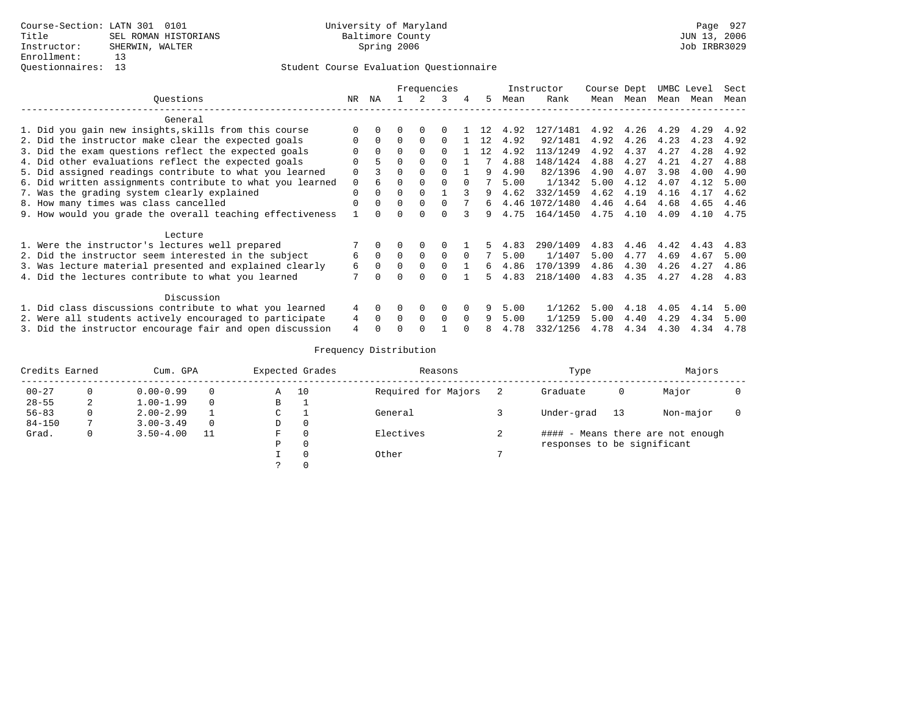# Student Course Evaluation Questionnaire

|                                                           |          |          |              |             | Frequencies |          |     |      | Instructor     | Course Dept |      | UMBC Level |      | Sect |
|-----------------------------------------------------------|----------|----------|--------------|-------------|-------------|----------|-----|------|----------------|-------------|------|------------|------|------|
| Ouestions                                                 | NR       | ΝA       |              | 2           | 3           | 4        | 5   | Mean | Rank           | Mean Mean   |      | Mean       | Mean | Mean |
| General                                                   |          |          |              |             |             |          |     |      |                |             |      |            |      |      |
| 1. Did you gain new insights, skills from this course     |          |          |              | $\Omega$    |             |          | 12. | 4.92 | 127/1481       | 4.92        | 4.26 | 4.29       | 4.29 | 4.92 |
| 2. Did the instructor make clear the expected goals       | 0        | $\Omega$ | $\Omega$     | $\Omega$    | $\Omega$    |          | 12  | 4.92 | 92/1481        | 4.92        | 4.26 | 4.23       | 4.23 | 4.92 |
| 3. Did the exam questions reflect the expected goals      |          | $\Omega$ | <sup>0</sup> | $\Omega$    | $\Omega$    |          | 12. | 4.92 | 113/1249       | 4.92        | 4.37 | 4.27       | 4.28 | 4.92 |
| 4. Did other evaluations reflect the expected goals       | 0        | 5        | $\Omega$     | $\Omega$    | $\Omega$    |          |     | 4.88 | 148/1424       | 4.88        | 4.27 | 4.21       | 4.27 | 4.88 |
| 5. Did assigned readings contribute to what you learned   | $\Omega$ |          | U            | $\Omega$    |             |          | q   | 4.90 | 82/1396        | 4.90        | 4.07 | 3.98       | 4.00 | 4.90 |
| 6. Did written assignments contribute to what you learned | 0        | 6        | 0            | $\cap$      | $\Omega$    | $\cap$   |     | 5.00 | 1/1342         | 5.00        | 4.12 | 4.07       | 4.12 | 5.00 |
| 7. Was the grading system clearly explained               | 0        | $\Omega$ | 0            | $\Omega$    |             |          | 9   | 4.62 | 332/1459       | 4.62        | 4.19 | 4.16       | 4.17 | 4.62 |
| 8. How many times was class cancelled                     | 0        | $\Omega$ | $\Omega$     | 0           | $\Omega$    |          | 6   |      | 4.46 1072/1480 | 4.46        | 4.64 | 4.68       | 4.65 | 4.46 |
| 9. How would you grade the overall teaching effectiveness |          |          |              |             |             |          | 9   | 4.75 | 164/1450       | 4.75        | 4.10 | 4.09       | 4.10 | 4.75 |
| Lecture                                                   |          |          |              |             |             |          |     |      |                |             |      |            |      |      |
| 1. Were the instructor's lectures well prepared           |          |          | 0            | $\Omega$    | 0           |          | 5.  | 4.83 | 290/1409       | 4.83        | 4.46 | 4.42       | 4.43 | 4.83 |
| 2. Did the instructor seem interested in the subject      | б.       | $\Omega$ | $\Omega$     | $\Omega$    | $\Omega$    | $\Omega$ | 7   | 5.00 | 1/1407         | 5.00        | 4.77 | 4.69       | 4.67 | 5.00 |
| 3. Was lecture material presented and explained clearly   | 6        | $\Omega$ | 0            | $\Omega$    | $\Omega$    |          | б.  | 4.86 | 170/1399       | 4.86        | 4.30 | 4.26       | 4.27 | 4.86 |
| 4. Did the lectures contribute to what you learned        | 7        |          | U            | $\Omega$    | $\Omega$    |          | 5.  | 4.83 | 218/1400       | 4.83        | 4.35 | 4.27       | 4.28 | 4.83 |
| Discussion                                                |          |          |              |             |             |          |     |      |                |             |      |            |      |      |
| 1. Did class discussions contribute to what you learned   | 4        | $\Omega$ |              | 0           | 0           |          | 9   | 5.00 | 1/1262         | 5.00        | 4.18 | 4.05       | 4.14 | 5.00 |
| 2. Were all students actively encouraged to participate   | 4        | $\Omega$ | 0            | $\mathbf 0$ | $\Omega$    | $\Omega$ | 9   | 5.00 | 1/1259         | 5.00        | 4.40 | 4.29       | 4.34 | 5.00 |
| 3. Did the instructor encourage fair and open discussion  | 4        |          |              |             |             |          |     | 4.78 | 332/1256       | 4.78        | 4.34 | 4.30       | 4.34 | 4.78 |

| Credits Earned |   | Cum. GPA                  |          |   | Expected Grades | Reasons             |    | Type                        | Majors |                                   |  |
|----------------|---|---------------------------|----------|---|-----------------|---------------------|----|-----------------------------|--------|-----------------------------------|--|
| $00 - 27$      |   | $0.00 - 0.99$<br>$\Omega$ |          |   | 10              | Required for Majors |    | Graduate                    | 0      | Major                             |  |
| $28 - 55$      |   | $1.00 - 1.99$             | $\Omega$ | В | <b>.</b>        |                     |    |                             |        |                                   |  |
| $56 - 83$      | 0 | $2.00 - 2.99$             |          | C |                 | General             |    | Under-grad                  | 13     | Non-major                         |  |
| $84 - 150$     |   | $3.00 - 3.49$             | $\Omega$ | D | $\mathbf{0}$    |                     |    |                             |        |                                   |  |
| Grad.          | 0 | $3.50 - 4.00$             |          | F | 0               | Electives           | z. |                             |        | #### - Means there are not enough |  |
|                |   |                           |          | Ρ | 0               |                     |    | responses to be significant |        |                                   |  |
|                |   |                           |          |   | $\Omega$        | Other               |    |                             |        |                                   |  |
|                |   |                           |          |   | $\Omega$        |                     |    |                             |        |                                   |  |